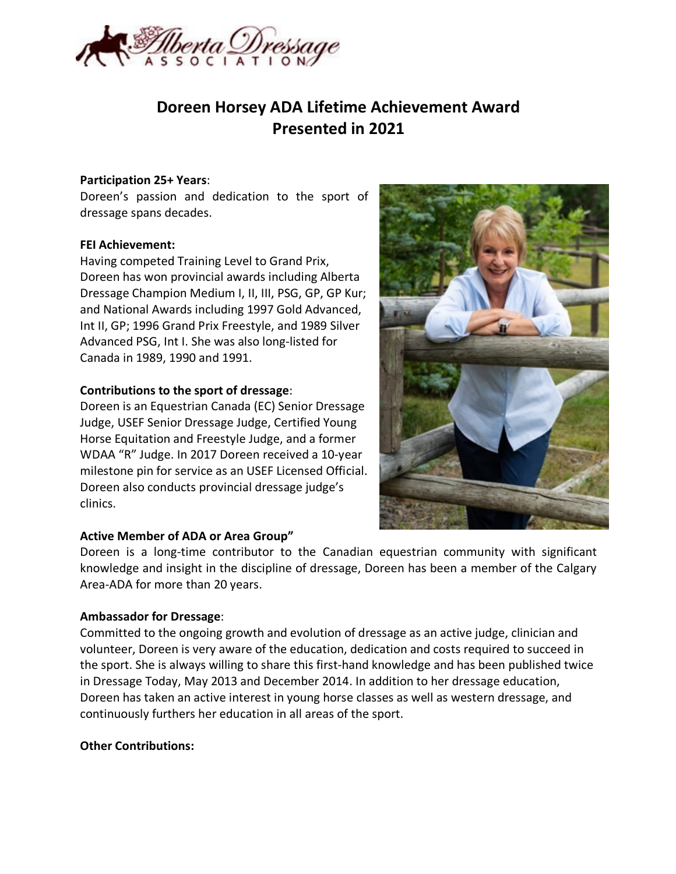

# **Doreen Horsey ADA Lifetime Achievement Award Presented in 2021**

#### **Participation 25+ Years**:

Doreen's passion and dedication to the sport of dressage spans decades.

#### **FEI Achievement:**

Having competed Training Level to Grand Prix, Doreen has won provincial awards including Alberta Dressage Champion Medium I, II, III, PSG, GP, GP Kur; and National Awards including 1997 Gold Advanced, Int II, GP; 1996 Grand Prix Freestyle, and 1989 Silver Advanced PSG, Int I. She was also long-listed for Canada in 1989, 1990 and 1991.

# **Contributions to the sport of dressage**:

Doreen is an Equestrian Canada (EC) Senior Dressage Judge, USEF Senior Dressage Judge, Certified Young Horse Equitation and Freestyle Judge, and a former WDAA "R" Judge. In 2017 Doreen received a 10-year milestone pin for service as an USEF Licensed Official. Doreen also conducts provincial dressage judge's clinics.

# **Active Member of ADA or Area Group"**

Doreen is a long-time contributor to the Canadian equestrian community with significant knowledge and insight in the discipline of dressage, Doreen has been a member of the Calgary Area-ADA for more than 20 years.

# **Ambassador for Dressage**:

Committed to the ongoing growth and evolution of dressage as an active judge, clinician and volunteer, Doreen is very aware of the education, dedication and costs required to succeed in the sport. She is always willing to share this first-hand knowledge and has been published twice in Dressage Today, May 2013 and December 2014. In addition to her dressage education, Doreen has taken an active interest in young horse classes as well as western dressage, and continuously furthers her education in all areas of the sport.

#### **Other Contributions:**